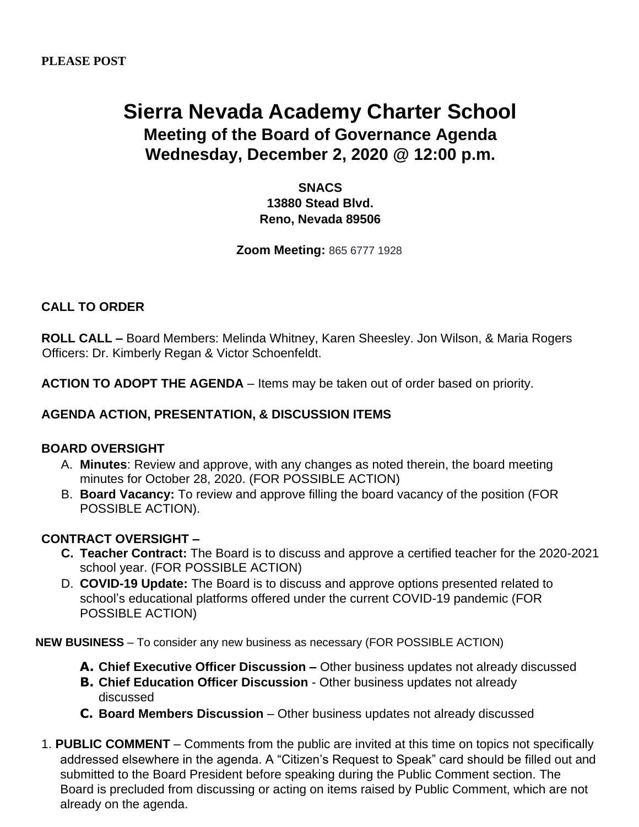# **Sierra Nevada Academy Charter School Meeting of the Board of Governance Agenda Wednesday, December 2, 2020 @ 12:00 p.m.**

**SNACS 13880 Stead Blvd. Reno, Nevada 89506**

**Zoom Meeting:** 865 6777 1928

#### **CALL TO ORDER**

**ROLL CALL –** Board Members: Melinda Whitney, Karen Sheesley. Jon Wilson, & Maria Rogers Officers: Dr. Kimberly Regan & Victor Schoenfeldt.

**ACTION TO ADOPT THE AGENDA** – Items may be taken out of order based on priority.

#### **AGENDA ACTION, PRESENTATION, & DISCUSSION ITEMS**

#### **BOARD OVERSIGHT**

- A. **Minutes**: Review and approve, with any changes as noted therein, the board meeting minutes for October 28, 2020. (FOR POSSIBLE ACTION)
- B. **Board Vacancy:** To review and approve filling the board vacancy of the position (FOR POSSIBLE ACTION).

#### **CONTRACT OVERSIGHT –**

- **C. Teacher Contract:** The Board is to discuss and approve a certified teacher for the 2020-2021 school year. (FOR POSSIBLE ACTION)
- D. **COVID-19 Update:** The Board is to discuss and approve options presented related to school's educational platforms offered under the current COVID-19 pandemic (FOR POSSIBLE ACTION)

**NEW BUSINESS** – To consider any new business as necessary (FOR POSSIBLE ACTION)

- **A. Chief Executive Officer Discussion –** Other business updates not already discussed
- **B. Chief Education Officer Discussion**  Other business updates not already discussed
- **C. Board Members Discussion**  Other business updates not already discussed
- 1. **PUBLIC COMMENT**  Comments from the public are invited at this time on topics not specifically addressed elsewhere in the agenda. A "Citizen's Request to Speak" card should be filled out and submitted to the Board President before speaking during the Public Comment section. The Board is precluded from discussing or acting on items raised by Public Comment, which are not already on the agenda.